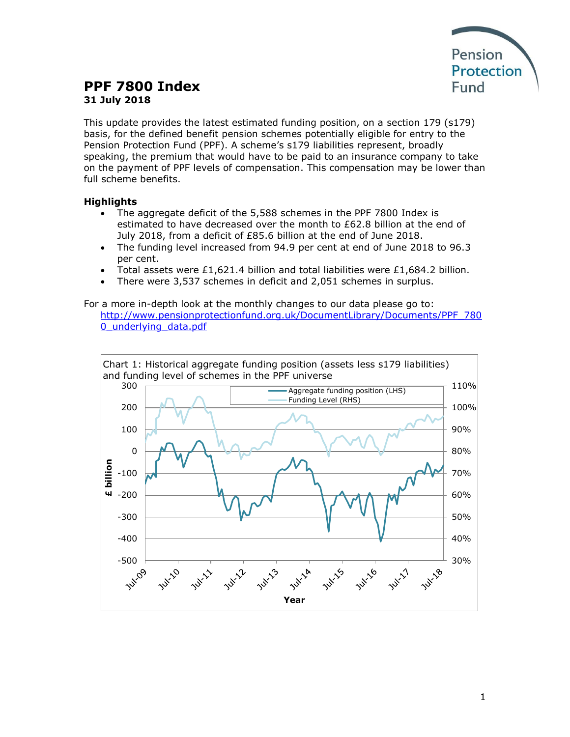

# **PPF 7800 Index 31 July 2018**

This update provides the latest estimated funding position, on a section 179 (s179) basis, for the defined benefit pension schemes potentially eligible for entry to the Pension Protection Fund (PPF). A scheme's s179 liabilities represent, broadly speaking, the premium that would have to be paid to an insurance company to take on the payment of PPF levels of compensation. This compensation may be lower than full scheme benefits.

## **Highlights**

- The aggregate deficit of the 5,588 schemes in the PPF 7800 Index is estimated to have decreased over the month to £62.8 billion at the end of July 2018, from a deficit of £85.6 billion at the end of June 2018.
- The funding level increased from 94.9 per cent at end of June 2018 to 96.3 per cent.
- Total assets were £1,621.4 billion and total liabilities were £1,684.2 billion.
- There were 3,537 schemes in deficit and 2,051 schemes in surplus.

For a more in-depth look at the monthly changes to our data please go to: [http://www.pensionprotectionfund.org.uk/DocumentLibrary/Documents/PPF\\_780](http://www.pensionprotectionfund.org.uk/DocumentLibrary/Documents/PPF_7800_underlying_data.pdf) [0\\_underlying\\_data.pdf](http://www.pensionprotectionfund.org.uk/DocumentLibrary/Documents/PPF_7800_underlying_data.pdf)

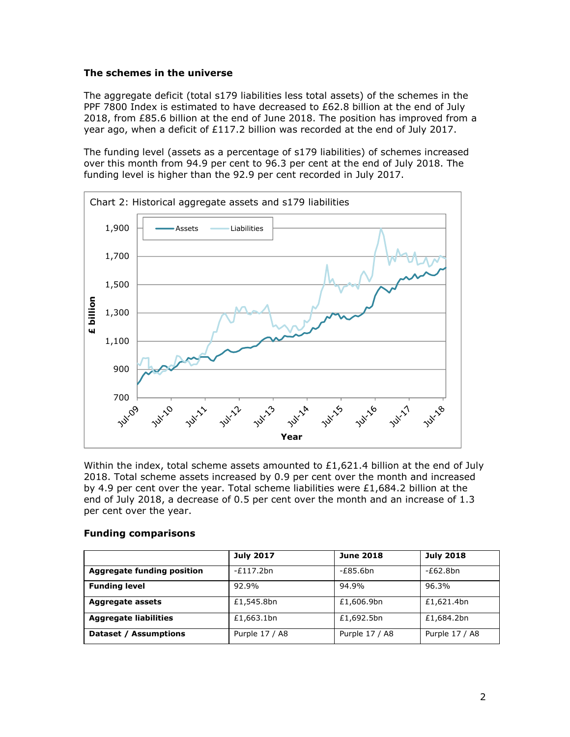#### **The schemes in the universe**

The aggregate deficit (total s179 liabilities less total assets) of the schemes in the PPF 7800 Index is estimated to have decreased to £62.8 billion at the end of July 2018, from £85.6 billion at the end of June 2018. The position has improved from a year ago, when a deficit of £117.2 billion was recorded at the end of July 2017.

The funding level (assets as a percentage of s179 liabilities) of schemes increased over this month from 94.9 per cent to 96.3 per cent at the end of July 2018. The funding level is higher than the 92.9 per cent recorded in July 2017.



Within the index, total scheme assets amounted to £1,621.4 billion at the end of July 2018. Total scheme assets increased by 0.9 per cent over the month and increased by 4.9 per cent over the year. Total scheme liabilities were  $£1,684.2$  billion at the end of July 2018, a decrease of 0.5 per cent over the month and an increase of 1.3 per cent over the year.

#### **Funding comparisons**

|                                   | <b>July 2017</b> | <b>June 2018</b> | <b>July 2018</b> |
|-----------------------------------|------------------|------------------|------------------|
| <b>Aggregate funding position</b> | $-E117.2bn$      | $-E85.6$ bn      | $-E62.8bn$       |
| <b>Funding level</b>              | 92.9%            | 94.9%            | 96.3%            |
| Aggregate assets                  | £1,545.8bn       | £1,606.9bn       | £1,621.4bn       |
| <b>Aggregate liabilities</b>      | £1,663.1bn       | £1,692.5bn       | £1,684.2bn       |
| Dataset / Assumptions             | Purple 17 / A8   | Purple 17 / A8   | Purple 17 / A8   |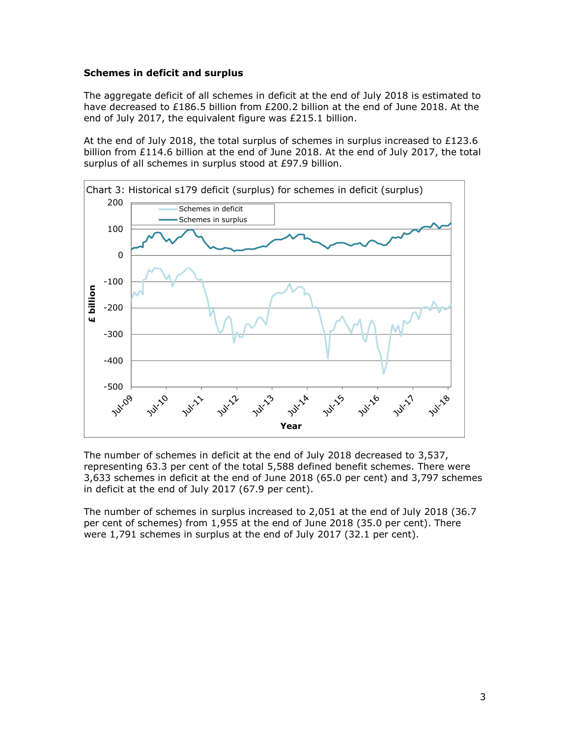#### **Schemes in deficit and surplus**

The aggregate deficit of all schemes in deficit at the end of July 2018 is estimated to have decreased to £186.5 billion from £200.2 billion at the end of June 2018. At the end of July 2017, the equivalent figure was £215.1 billion.

At the end of July 2018, the total surplus of schemes in surplus increased to  $£123.6$ billion from £114.6 billion at the end of June 2018. At the end of July 2017, the total surplus of all schemes in surplus stood at £97.9 billion.



The number of schemes in deficit at the end of July 2018 decreased to 3,537, representing 63.3 per cent of the total 5,588 defined benefit schemes. There were 3,633 schemes in deficit at the end of June 2018 (65.0 per cent) and 3,797 schemes in deficit at the end of July 2017 (67.9 per cent).

The number of schemes in surplus increased to 2,051 at the end of July 2018 (36.7 per cent of schemes) from 1,955 at the end of June 2018 (35.0 per cent). There were 1,791 schemes in surplus at the end of July 2017 (32.1 per cent).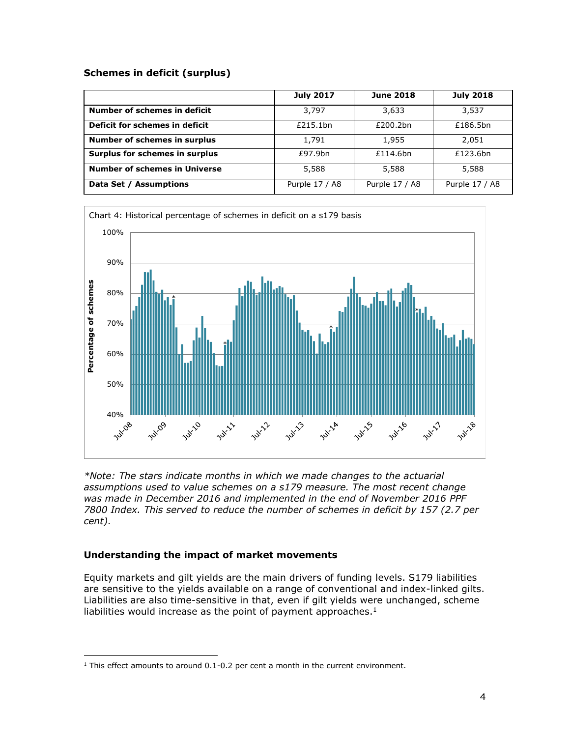### **Schemes in deficit (surplus)**

|                                      | <b>July 2017</b> | <b>June 2018</b> | <b>July 2018</b> |
|--------------------------------------|------------------|------------------|------------------|
| Number of schemes in deficit         | 3,797            | 3,633            | 3,537            |
| Deficit for schemes in deficit       | £215.1bn         | £200.2bn         | £186.5bn         |
| Number of schemes in surplus         | 1,791            | 1,955            | 2.051            |
| Surplus for schemes in surplus       | £97.9bn          | £114.6bn         | £123.6bn         |
| <b>Number of schemes in Universe</b> | 5,588            | 5,588            | 5,588            |
| Data Set / Assumptions               | Purple 17 / A8   | Purple 17 / A8   | Purple 17 / A8   |



*\*Note: The stars indicate months in which we made changes to the actuarial assumptions used to value schemes on a s179 measure. The most recent change was made in December 2016 and implemented in the end of November 2016 PPF 7800 Index. This served to reduce the number of schemes in deficit by 157 (2.7 per cent).*

## **Understanding the impact of market movements**

 $\overline{a}$ 

Equity markets and gilt yields are the main drivers of funding levels. S179 liabilities are sensitive to the yields available on a range of conventional and index-linked gilts. Liabilities are also time-sensitive in that, even if gilt yields were unchanged, scheme liabilities would increase as the point of payment approaches. $<sup>1</sup>$ </sup>

<sup>&</sup>lt;sup>1</sup> This effect amounts to around 0.1-0.2 per cent a month in the current environment.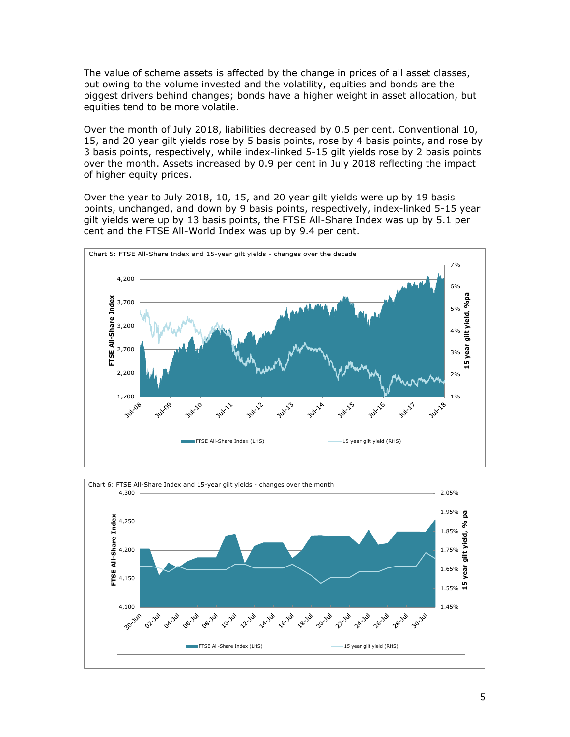The value of scheme assets is affected by the change in prices of all asset classes, but owing to the volume invested and the volatility, equities and bonds are the biggest drivers behind changes; bonds have a higher weight in asset allocation, but equities tend to be more volatile.

Over the month of July 2018, liabilities decreased by 0.5 per cent. Conventional 10, 15, and 20 year gilt yields rose by 5 basis points, rose by 4 basis points, and rose by 3 basis points, respectively, while index-linked 5-15 gilt yields rose by 2 basis points over the month. Assets increased by 0.9 per cent in July 2018 reflecting the impact of higher equity prices.

Over the year to July 2018, 10, 15, and 20 year gilt yields were up by 19 basis points, unchanged, and down by 9 basis points, respectively, index-linked 5-15 year gilt yields were up by 13 basis points, the FTSE All-Share Index was up by 5.1 per cent and the FTSE All-World Index was up by 9.4 per cent.



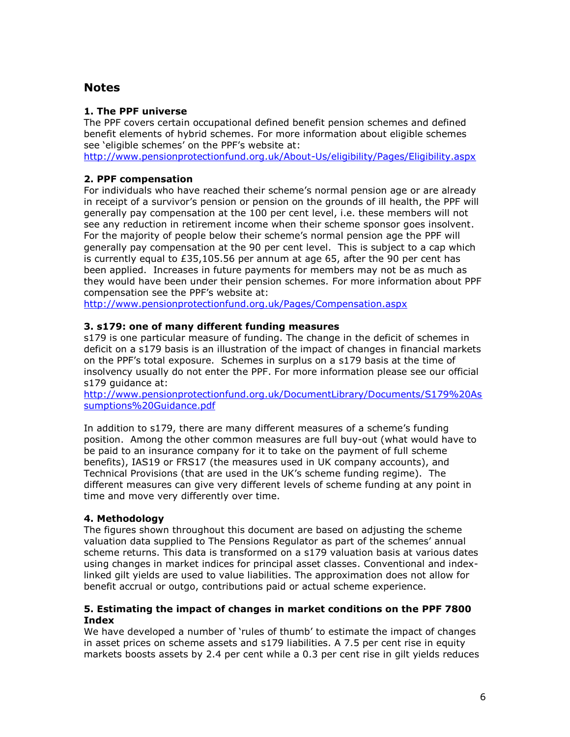## **Notes**

### **1. The PPF universe**

The PPF covers certain occupational defined benefit pension schemes and defined benefit elements of hybrid schemes. For more information about eligible schemes see 'eligible schemes' on the PPF's website at:

<http://www.pensionprotectionfund.org.uk/About-Us/eligibility/Pages/Eligibility.aspx>

## **2. PPF compensation**

For individuals who have reached their scheme's normal pension age or are already in receipt of a survivor's pension or pension on the grounds of ill health, the PPF will generally pay compensation at the 100 per cent level, i.e. these members will not see any reduction in retirement income when their scheme sponsor goes insolvent. For the majority of people below their scheme's normal pension age the PPF will generally pay compensation at the 90 per cent level. This is subject to a cap which is currently equal to £35,105.56 per annum at age 65, after the 90 per cent has been applied. Increases in future payments for members may not be as much as they would have been under their pension schemes. For more information about PPF compensation see the PPF's website at:

<http://www.pensionprotectionfund.org.uk/Pages/Compensation.aspx>

#### **3. s179: one of many different funding measures**

s179 is one particular measure of funding. The change in the deficit of schemes in deficit on a s179 basis is an illustration of the impact of changes in financial markets on the PPF's total exposure. Schemes in surplus on a s179 basis at the time of insolvency usually do not enter the PPF. For more information please see our official s179 guidance at:

[http://www.pensionprotectionfund.org.uk/DocumentLibrary/Documents/S179%20As](http://www.pensionprotectionfund.org.uk/DocumentLibrary/Documents/S179%20Assumptions%20Guidance.pdf) [sumptions%20Guidance.pdf](http://www.pensionprotectionfund.org.uk/DocumentLibrary/Documents/S179%20Assumptions%20Guidance.pdf)

In addition to s179, there are many different measures of a scheme's funding position. Among the other common measures are full buy-out (what would have to be paid to an insurance company for it to take on the payment of full scheme benefits), IAS19 or FRS17 (the measures used in UK company accounts), and Technical Provisions (that are used in the UK's scheme funding regime). The different measures can give very different levels of scheme funding at any point in time and move very differently over time.

## **4. Methodology**

The figures shown throughout this document are based on adjusting the scheme valuation data supplied to The Pensions Regulator as part of the schemes' annual scheme returns. This data is transformed on a s179 valuation basis at various dates using changes in market indices for principal asset classes. Conventional and indexlinked gilt yields are used to value liabilities. The approximation does not allow for benefit accrual or outgo, contributions paid or actual scheme experience.

#### **5. Estimating the impact of changes in market conditions on the PPF 7800 Index**

We have developed a number of 'rules of thumb' to estimate the impact of changes in asset prices on scheme assets and s179 liabilities. A 7.5 per cent rise in equity markets boosts assets by 2.4 per cent while a 0.3 per cent rise in gilt yields reduces